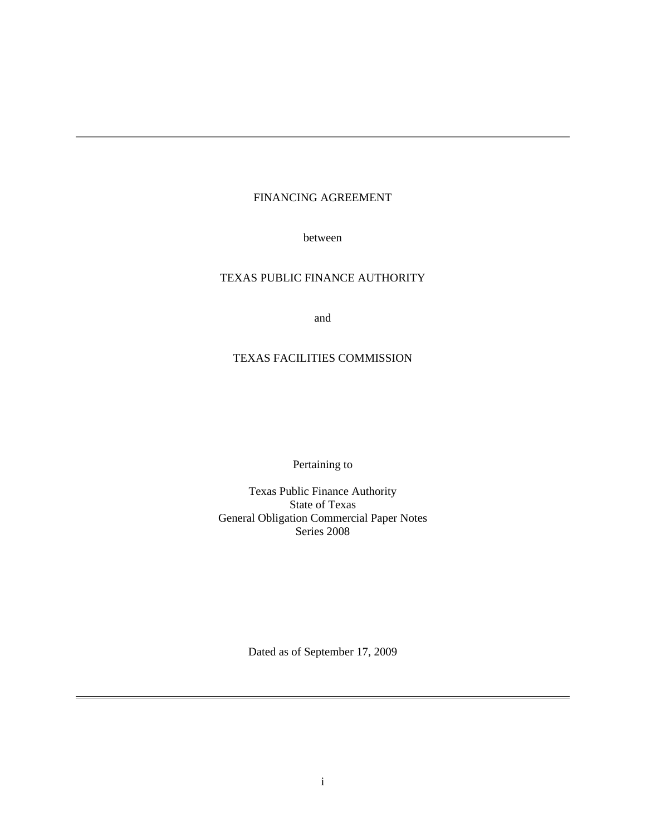# FINANCING AGREEMENT

between

## TEXAS PUBLIC FINANCE AUTHORITY

and

# TEXAS FACILITIES COMMISSION

Pertaining to

Texas Public Finance Authority State of Texas General Obligation Commercial Paper Notes Series 2008

Dated as of September 17, 2009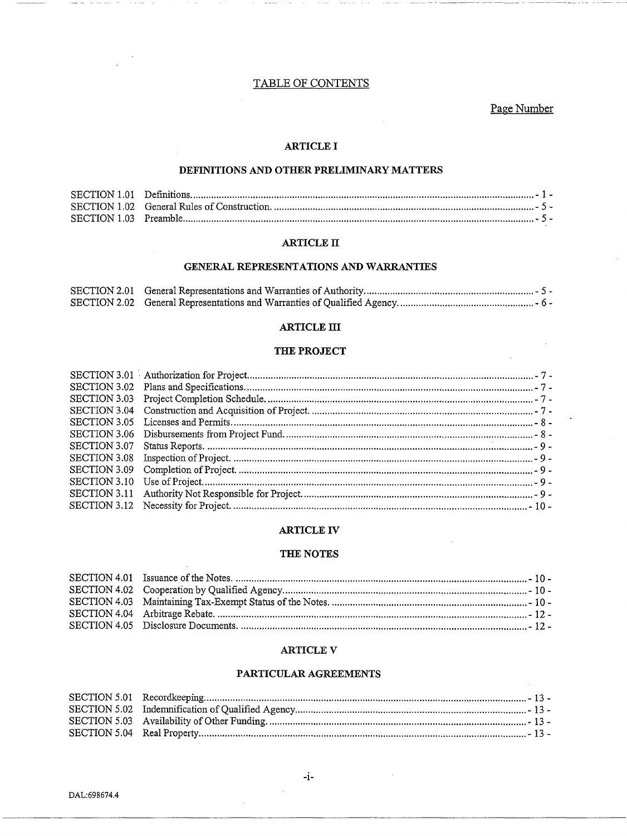## TABLE OF CONTENTS

Page Number

## **ARTICLE I**

## DEFINITIONS AND OTHER PRELIMINARY MATTERS

#### **ARTICLE II**

#### GENERAL REPRESENTATIONS AND WARRANTIES

#### **ARTICLE III**

## THE PROJECT

## **ARTICLE IV**

#### THE NOTES

### **ARTICLE V**

### PARTICULAR AGREEMENTS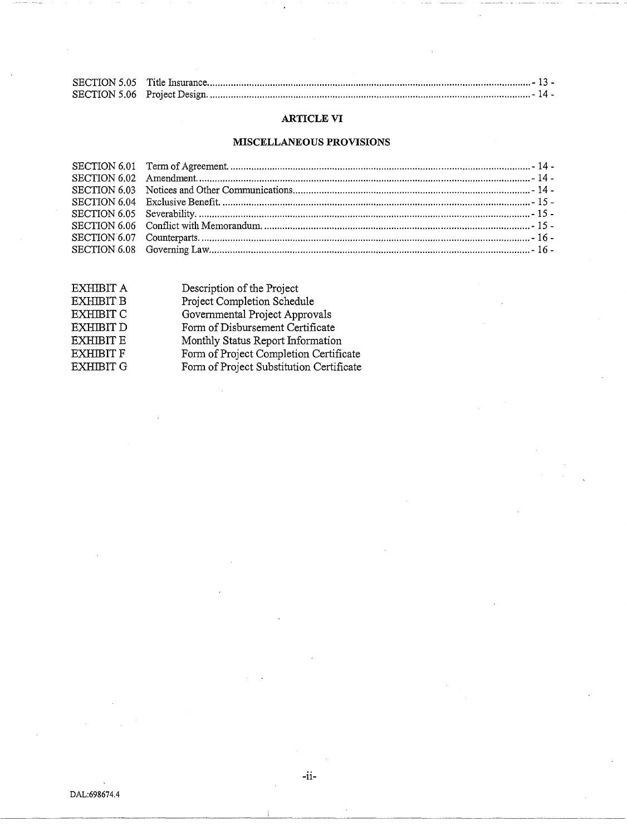## ARTICLE VI

# MISCELLANEOUS PROVISIONS

| EXHIBIT A        | Description of the Project               |
|------------------|------------------------------------------|
| <b>EXHIBIT B</b> | Project Completion Schedule              |
| <b>EXHIBIT C</b> | Governmental Project Approvals           |
| <b>EXHIBIT D</b> | Form of Disbursement Certificate         |
| <b>EXHIBIT E</b> | Monthly Status Report Information        |
| <b>EXHIBIT F</b> | Form of Project Completion Certificate   |
| <b>EXHIBIT G</b> | Form of Project Substitution Certificate |
|                  |                                          |

-ii-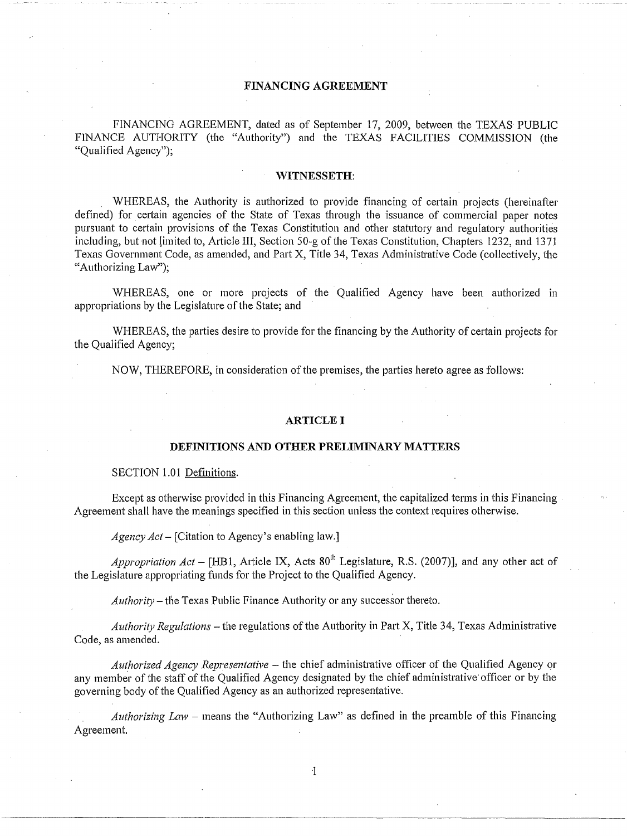## **FINANCING AGREEMENT**

FINANCING AGREEMENT, dated as of September 17, 2009, between the TEXAS PUBLIC FINANCE AUTHORITY (the "Authority") and the TEXAS FACILITIES COMMISSION (the "Qualified Agency");

#### **WITNESSETH:**

WHEREAS, the Authority is authorized to provide financing of certain projects (hereinafter defined) for certain agencies of the State of Texas through the issuance of commercial paper notes pursuant to certain provisions of the Texas Constitution and other statutory and regulatory authorities including, but not limited to, Article III, Section 50-g of the Texas Constitution, Chapters 1232, and 1371 Texas Government Code, as amended, and Part X, Title 34, Texas Administrative Code (collectively, the "Authorizing Law");

WHEREAS, one or more projects of the Qualified Agency have been authorized in appropriations by the Legislature of the State; and

WHEREAS, the parties desire to provide for the financing by the Authority of certain projects for the Qualified Agency;

NOW, THEREFORE, in consideration of the premises, the parties hereto agree as follows:

#### **ARTICLE I**

#### **DEFINITIONS AND OTHER PRELIMINARY MATTERS**

#### SECTION 1.01 Definitions.

Except as otherwise provided in this Financing Agreement, the capitalized terms in this Financing Agreement shall have the meanings specified in this section unless the context requires otherwise.

*Agency Act-* [Citation to Agency's enabling law.]

*Appropriation Act* – [HB1, Article IX, Acts  $80<sup>th</sup>$  Legislature, R.S. (2007)], and any other act of the Legislature appropriating funds for the Project to the Qualified Agency.

*Authority* – the Texas Public Finance Authority or any successor thereto.

*Authority Regulations-* the regulations of the Authority in Part X, Title 34, Texas Administrative Code, as amended.

*Authorized Agency Representative* - the chief administrative officer of the Qualified Agency or any member of the staff of the Qualified Agency designated by the chief administrative officer or by the governing body of the Qualified Agency as an authorized representative.

*Authorizing Law* - means the "Authorizing Law" as defined in the preamble of this Financing Agreement.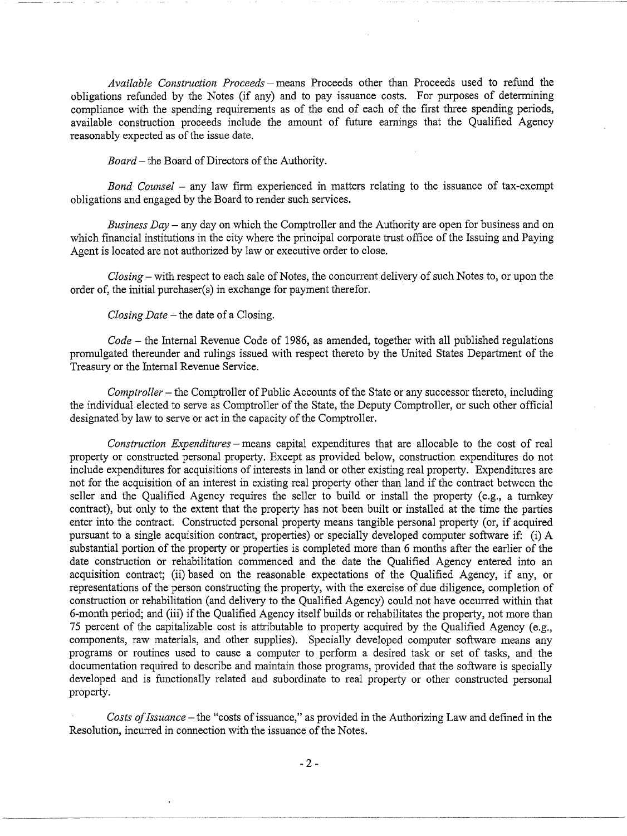*Available Construction Proceeds-* means Proceeds other than Proceeds used to refund the obligations refunded by the Notes (if any) and to pay issuance costs. For purposes of determining compliance with the spending requirements as of the end of each of the first three spending periods, available construction proceeds include the amount of future earnings that the Qualified Agency reasonably expected as of the issue date.

*Board-* the Board of Directors of the Authority.

*Bond Counsel* - any law firm experienced in matters relating to the issuance of tax-exempt obligations and engaged by the Board to render such services.

*Business Day* - any day on which the Comptroller and the Authority are open for business and on which financial institutions in the city where the principal corporate trust office of the Issuing and Paying Agent is located are not authorized by law or executive order to close.

*Closing-* with respect to each sale of Notes, the concurrent delivery of such Notes to, or upon the order of, the initial purchaser(s) in exchange for payment therefor.

#### *Closing Date* - the date of a Closing.

*Code-* the Internal Revenue Code of 1986, as amended, together with all published regulations promulgated thereunder and rulings issued with respect thereto by the United States Department of the Treasury or the Internal Revenue Service.

*Comptroller-* the Comptroller of Public Accounts of the State or any successor thereto, including the individual elected to serve as Comptroller of the State, the Deputy Comptroller, or such other official designated by law to serve or act in the capacity of the Comptroller.

*Construction Expenditures-* means capital expenditures that are allocable to the cost of real property or constructed personal property. Except as provided below, construction expenditures do not include expenditures for acquisitions of interests in land or other existing real property. Expenditures are not for the acquisition of an interest in existing real property other than land if the contract between the seller and the Qualified Agency requires the seller to build or install the property (e.g., a turnkey contract), but only to the extent that the property has not been built or installed at the time the parties enter into the contract. Constructed personal property means tangible personal property (or, if acquired pursuant to a single acquisition contract, properties) or specially developed computer software if: (i) A substantial portion of the property or properties is completed more than 6 months after the earlier of the date construction or rehabilitation commenced and the date the Qualified Agency entered into an acquisition contract; (ii) based on the reasonable expectations of the Qualified Agency, if any, or representations of the person constructing the property, with the exercise of due diligence, completion of construction or rehabilitation (and delivery to the Qualified Agency) could not have occurred within that 6-month period; and (iii) if the Qualified Agency itself builds or rehabilitates the property, not more than 75 percent of the capitalizable cost is attributable to property acquired by the Qualified Agency (e.g., components, raw materials, and other supplies). Specially developed computer software means any programs or routines used to cause a computer to perform a desired task or set of tasks, and the documentation required to describe and maintain those programs, provided that the software is specially developed and is functionally related and subordinate to real property or other constructed personal property.

*Costs of Issuance-* the "costs of issuance," as provided in the Authorizing Law and defined in the Resolution, incurred in connection with the issuance of the Notes.

----------~~----· ------- -----------------------~--------~------------- ------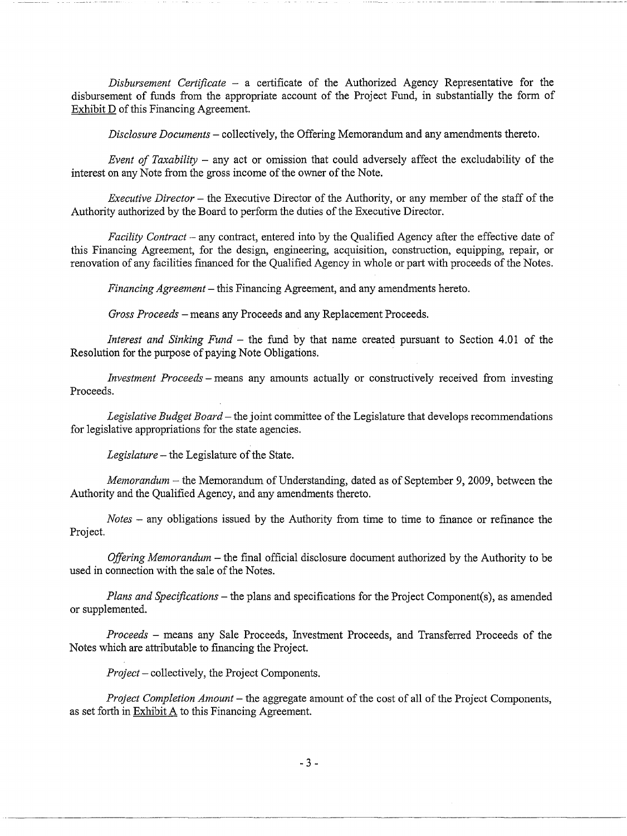*Disbursement Certificate* - a certificate of the Authorized Agency Representative for the disbursement of funds from the appropriate account of the Project Fund, in substantially the form of Exhibit D of this Financing Agreement.

*Disclosure Documents-* collectively, the Offering Memorandum and any amendments thereto.

*Event of Taxability* – any act or omission that could adversely affect the excludability of the interest on any Note from the gross income of the owner of the Note.

*Executive Director* - the Executive Director of the Authority, or any member of the staff of the Authority authorized by the Board to perform the duties of the Executive Director.

*Facility Contract –* any contract, entered into by the Qualified Agency after the effective date of this Financing Agreement, for the design, engineering, acquisition, construction, equipping, repair, or renovation of any facilities financed for the Qualified Agency in whole or part with proceeds of the Notes.

*Financing Agreement-* this Financing Agreement, and any amendments hereto.

*Gross Proceeds* -means any Proceeds and any Replacement Proceeds.

*Interest and Sinking Fund* - the fund by that name created pursuant to Section 4.01 of the Resolution for the purpose of paying Note Obligations.

*Investment Proceeds* – means any amounts actually or constructively received from investing Proceeds.

*Legislative Budget Board-* the joint committee of the Legislature that develops recommendations for legislative appropriations for the state agencies.

*Legislature-* the Legislature of the State.

*Memorandum-* the Memorandum of Understanding, dated as of September 9, 2009, between the Authority and the Qualified Agency, and any amendments thereto.

*Notes* - any obligations issued by the Authority from time to time to finance or refinance the Project.

*Offering Memorandum* – the final official disclosure document authorized by the Authority to be used in connection with the sale of the Notes.

*Plans and Specifications-* the plans and specifications for the Project Component(s), as amended or supplemented.

*Proceeds* - means any Sale Proceeds, Investment Proceeds, and Transferred Proceeds of the Notes which are attributable to financing the Project.

*Project-* collectively, the Project Components.

---------------~---~-~---·-

*Project Completion Amount-* the aggregate amount of the cost of all of the Project Components, as set forth in Exhibit A to this Financing Agreement.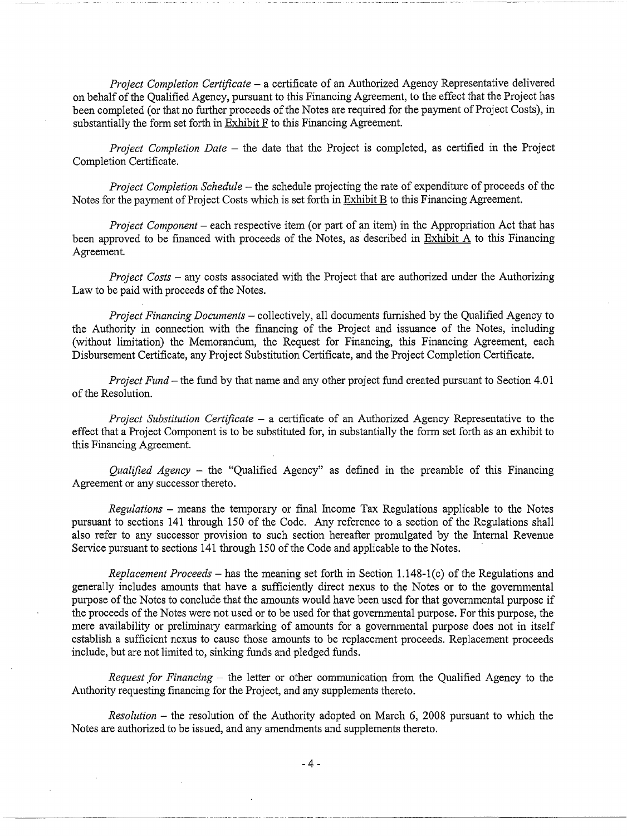*Project Completion Certificate* - a certificate of an Authorized Agency Representative delivered on behalf of the Qualified Agency, pursuant to this Financing Agreement, to the effect that the Project has been completed (or that no further proceeds of the Notes are required for the payment of Project Costs), in substantially the form set forth in Exhibit F to this Financing Agreement.

*Project Completion Date* - the date that the Project is completed, as certified in the Project Completion Certificate.

*Project Completion Schedule-* the schedule projecting the rate of expenditure of proceeds of the Notes for the payment of Project Costs which is set forth in Exhibit B to this Financing Agreement.

*Project Component* – each respective item (or part of an item) in the Appropriation Act that has been approved to be financed with proceeds of the Notes, as described in Exhibit A to this Financing Agreement.

*Project Costs-* any costs associated with the Project that are authorized under the Authorizing Law to be paid with proceeds of the Notes.

*Project Financing Documents* - collectively, all documents furnished by the Qualified Agency to the Authority in connection with the financing of the Project and issuance of the Notes, including (without limitation) the Memorandum, the Request for Financing, this Financing Agreement, each Disbursement Certificate, any Project Substitution Certificate, and the Project Completion Certificate.

*Project Fund-* the fund by that name and any other project fund created pursuant to Section 4.01 of the Resolution.

*Project Substitution Certificate* - a certificate of an Authorized Agency Representative to the effect that a Project Component is to be substituted for, in substantially the form set forth as an exhibit to this Financing Agreement.

*Qualified Agency* - the "Qualified Agency" as defined in the preamble of this Financing Agreement or any successor thereto.

*Regulations* -means the temporary or final Income Tax Regulations applicable to the Notes pursuant to sections 141 through 150 of the Code. Any reference to a section of the Regulations shall also refer to any successor provision to such section hereafter promulgated by the Internal Revenue Service pursuant to sections 141 through 150 of the Code and applicable to the Notes.

*Replacement Proceeds-* has the meaning set forth in Section 1.148-1(c) of the Regulations and generally includes amounts that have a sufficiently direct nexus to the Notes or to the governmental purpose of the Notes to conclude that the amounts would have been used for that governmental purpose if the proceeds of the Notes were not used or to be used for that governmental purpose. For this purpose, the mere availability or preliminary earmarking of amounts for a governmental purpose does not in itself establish a sufficient nexus to cause those amounts to be replacement proceeds. Replacement proceeds include, but are not limited to, sinking funds and pledged funds.

*Request for Financing* - the letter or other communication from the Qualified Agency to the Authority requesting financing for the Project, and any supplements thereto.

*Resolution* – the resolution of the Authority adopted on March 6, 2008 pursuant to which the Notes are authorized to be issued, and any amendments and supplements thereto.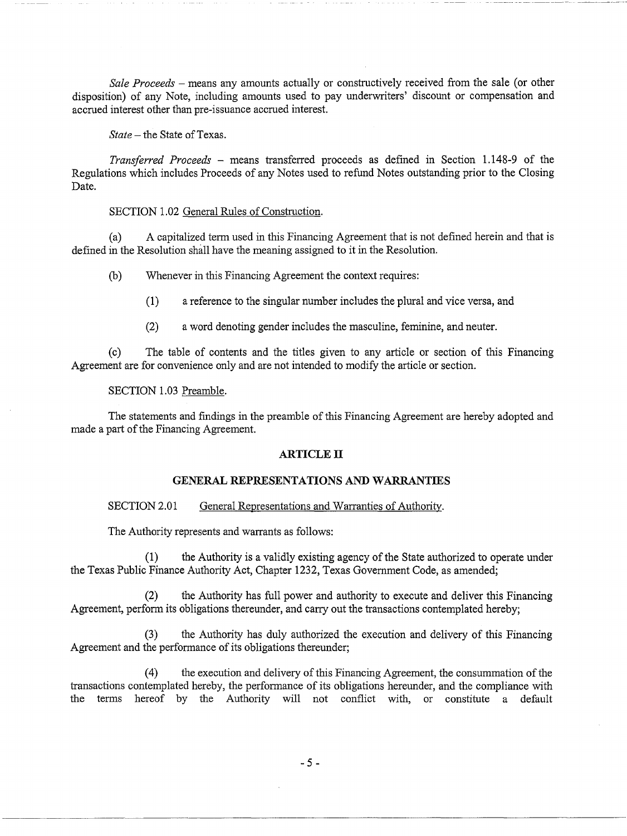*Sale Proceeds* - means any amounts actually or constructively received from the sale (or other disposition) of any Note, including amounts used to pay underwriters' discount or compensation and accrued interest other than pre-issuance accrued interest.

*State-* the State of Texas.

*Transferred Proceeds* - means transferred proceeds as defined in Section 1.148-9 of the Regulations which includes Proceeds of any Notes used to refund Notes outstanding prior to the Closing Date.

## SECTION 1.02 General Rules of Construction.

(a) A capitalized term used in this Financing Agreement that is not defined herein and that is defined in the Resolution shall have the meaning assigned to it in the Resolution.

(b) Whenever in this Financing Agreement the context requires:

(1) a reference to the singular number includes the plural and vice versa, and

(2) a word denoting gender includes the masculine, feminine, and neuter.

(c) The table of contents and the titles given to any article or section of this Financing Agreement are for convenience only and are not intended to modify the article or section.

#### SECTION 1.03 Preamble.

The statements and findings in the preamble of this Financing Agreement are hereby adopted and made a part of the Financing Agreement.

## **ARTICLE IT**

## **GENERAL REPRESENTATIONS AND WARRANTIES**

### SECTION 2.01 General Representations and Warranties of Authority.

The Authority represents and warrants as follows:

(1) the Authority is a validly existing agency of the State authorized to operate under the Texas Public Finance Authority Act, Chapter 1232, Texas Government Code, as amended;

(2) the Authority has full power and authority to execute and deliver this Financing Agreement, perform its obligations thereunder, and carry out the transactions contemplated hereby;

(3) the Authority has duly authorized the execution and delivery of this Financing Agreement and the performance of its obligations thereunder;

(4) the execution and delivery of this Financing Agreement, the consummation of the transactions contemplated hereby, the performance of its obligations hereunder, and the compliance with the terms hereof by the Authority will not conflict with, or constitute a default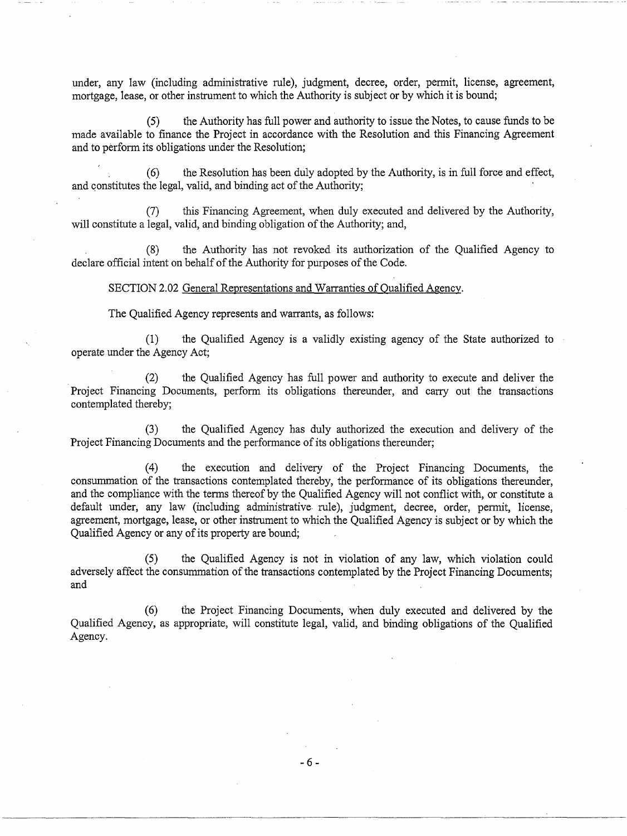under, any law (including administrative rule), judgment, decree, order, permit, license, agreement, mortgage, lease, or other instrument to which the Authority is subject or by which it is bound;

(5) the Authority has full power and authority to issue the Notes, to cause funds to be made available to finance the Project in accordance with the Resolution and this Financing Agreement and to perform its obligations under the Resolution;

(6) the Resolution has been duly adopted by the Authority, is in full force and effect, and constitutes the legal, valid, and binding act of the Authority;

(7) this Financing Agreement, when duly executed and delivered by the Authority, will constitute a legal, valid, and binding obligation of the Authority; and,

(8) the Authority has not revoked its authorization of the Qualified Agency to declare official intent on behalf of the Authority for purposes of the Code.

SECTION 2.02 General Representations and Warranties of Qualified Agency.

The Qualified Agency represents and warrants, as follows:

(1) the Qualified Agency is a validly existing agency of the State authorized to operate under the Agency Act;

(2) the Qualified Agency has full power and authority to execute and deliver the Project Financing Documents, perform its obligations thereunder, and carry out the transactions contemplated thereby;

(3) the Qualified Agency has duly authorized the execution and delivery of the Project Financing Documents and the performance of its obligations thereunder;

(4) the execution and delivery of the Project Financing Documents, the consummation of the transactions contemplated thereby, the performance of its obligations thereunder, and the compliance with the terms thereof by the Qualified Agency will not conflict with, or constitute a default under, any law (including administrative rule), judgment, decree, order, permit, license, agreement, mortgage, lease, or other instrument to which the Qualified Agency is subject or by which the Qualified Agency or any of its property are bound;

(5) the Qualified Agency is not in violation of any law, which violation could adversely affect the consummation of the transactions contemplated by the Project Financing Documents; and

(6) the Project Financing Documents, when duly executed and delivered by the Qualified Agency, as appropriate, will constitute legal, valid, and binding obligations of the Qualified Agency.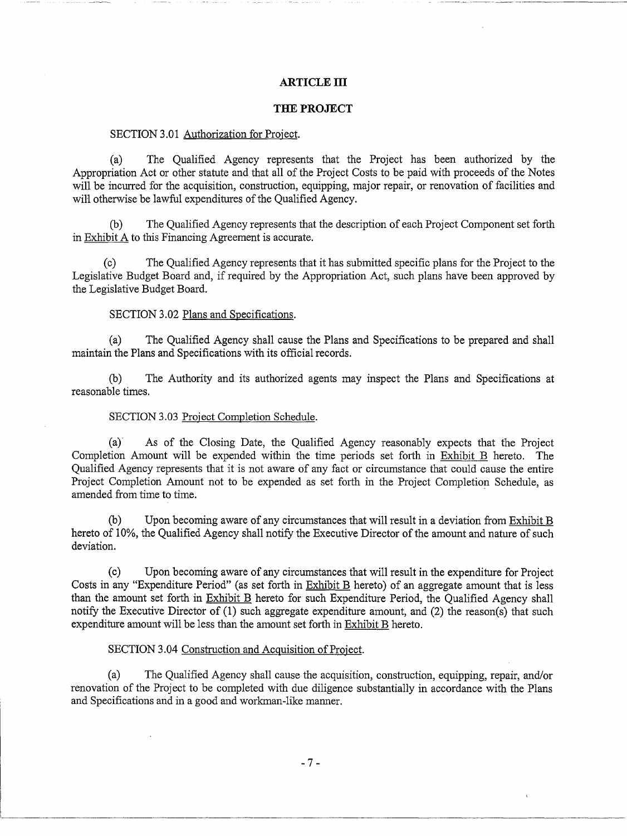## **ARTICLE III**

#### **THE PROJECT**

#### SECTION 3.01 Authorization for Project.

(a) The Qualified Agency represents that the Project has been authorized by the Appropriation Act or other statute and that all of the Project Costs to be paid with proceeds of the Notes will be incurred for the acquisition, construction, equipping, major repair, or renovation of facilities and will otherwise be lawful expenditures of the Qualified Agency.

(b) The Qualified Agency represents that the description of each Project Component set forth in Exhibit A to this Financing Agreement is accurate.

(c) The Qualified Agency represents that it has submitted specific plans for the Project to the Legislative Budget Board and, if required by the Appropriation Act, such plans have been approved by the Legislative Budget Board.

### SECTION 3.02 Plans and Specifications.

(a) The Qualified Agency shall cause the Plans and Specifications to be prepared and shall maintain the Plans and Specifications with its official records.

(b) The Authority and its authorized agents may inspect the Plans and Specifications at reasonable times.

### SECTION 3.03 Project Completion Schedule.

(a) As of the Closing Date, the Qualified Agency reasonably expects that the Project Completion Amount will be expended within the time periods set forth in Exhibit B hereto. The Qualified Agency represents that it is not aware of any fact or circumstance that could cause the entire Project Completion Amount not to be expended as set forth in the Project Completion Schedule, as amended from time to time.

(b) Upon becoming aware of any circumstances that will result in a deviation from Exhibit B hereto of 10%, the Qualified Agency shall notify the Executive Director of the amount and nature of such deviation.

(c) Upon becoming aware of any circumstances that will result in the expenditure for Project Costs in any "Expenditure Period" (as set forth in Exhibit B hereto) of an aggregate amount that is less than the amount set forth in Exhibit B hereto for such Expenditure Period, the Qualified Agency shall notify the Executive Director of (1) such aggregate expenditure amount, and (2) the reason(s) that such expenditure amount will be less than the amount set forth in Exhibit B hereto.

### SECTION 3.04 Construction and Acquisition of Project.

(a) The Qualified Agency shall cause the acquisition, construction, equipping, repair, and/or renovation of the Project to be completed with due diligence substantially in accordance with the Plans and Specifications and in a good and workman-like manner.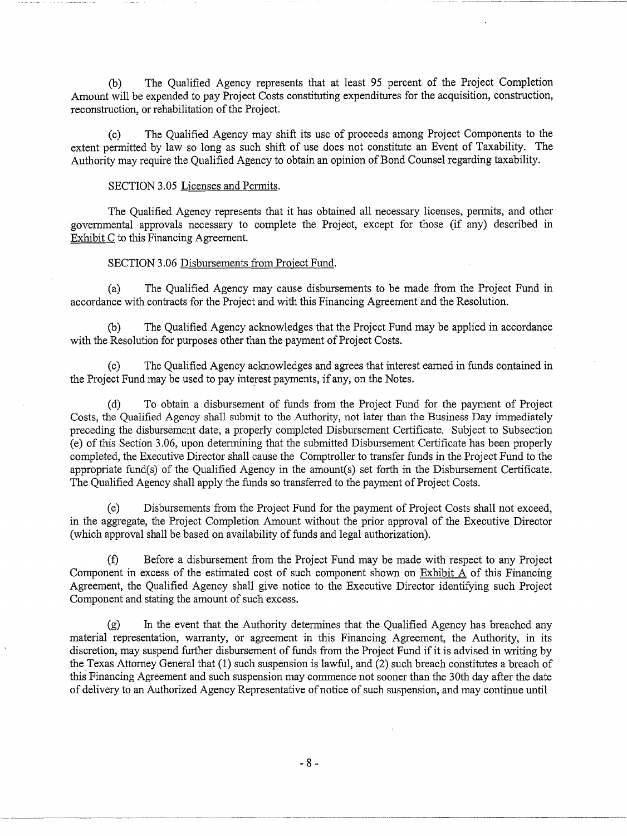(b) The Qualified Agency represents that at least 95 percent of the Project Completion Amount will be expended to pay Project Costs constituting expenditures for the acquisition, construction, reconstruction, or rehabilitation of the Project.

(c) The Qualified Agency may shift its use of proceeds among Project Components to the extent permitted by law so long as such shift of use does not constitute an Event of Taxability. The Authority may require the Qualified Agency to obtain an opinion of Bond Counsel regarding taxability.

#### SECTION 3.05 Licenses and Permits.

The Qualified Agency represents that it has obtained all necessary licenses, permits, and other governmental approvals necessary to complete the Project, except for those (if any) described in Exhibit C to this Financing Agreement.

## SECTION 3.06 Disbursements from Project Fund.

(a) The Qualified Agency may cause disbursements to be made from the Project Fund in accordance with contracts for the Project and with this Financing Agreement and the Resolution.

(b) The Qualified Agency acknowledges that the Project Fund may be applied in accordance with the Resolution for purposes other than the payment of Project Costs.

(c) The Qualified Agency acknowledges and agrees that interest earned in funds contained in the Project Fund may be used to pay interest payments, if any, on the Notes.

(d) To obtain a disbursement of funds from the Project Fund for the payment of Project Costs, the Qualified Agency shall submit to the Authority, not later than the Business Day immediately preceding the disbursement date, a properly completed Disbursement Certificate. Subject to Subsection (e) of this Section 3.06, upon determining that the submitted Disbursement Certificate has been properly completed, the Executive Director shall cause the Comptroller to transfer funds in the Project Fund to the appropriate fund(s) of the Qualified Agency in the amount(s) set forth in the Disbursement Certificate. The Qualified Agency shall apply the funds so transferred to the payment of Project Costs.

(e) Disbursements from the Project Fund for the payment of Project Costs shall not exceed, in the aggregate, the Project Completion Amount without the prior approval of the Executive Director (which approval shall be based on availability of funds and legal authorization).

(f) Before a disbursement from the Project Fund may be made with respect to any Project Component in excess of the estimated cost of such component shown on Exhibit A of this Financing Agreement, the Qualified Agency shall give notice to the Executive Director identifying such Project Component and stating the amount of such excess.

(g) In the event that the Authority determines that the Qualified Agency has breached any material representation, warranty, or agreement in this Financing Agreement, the Authority, in its discretion, may suspend further disbursement of funds from the Project Fund if it is advised in writing by the Texas Attorney General that (1) such suspension is lawful, and (2) such breach constitutes a breach of this Financing Agreement and such suspension may commence not sooner than the 30th day after the date of delivery to an Authorized Agency Representative of notice of such suspension, and may continue until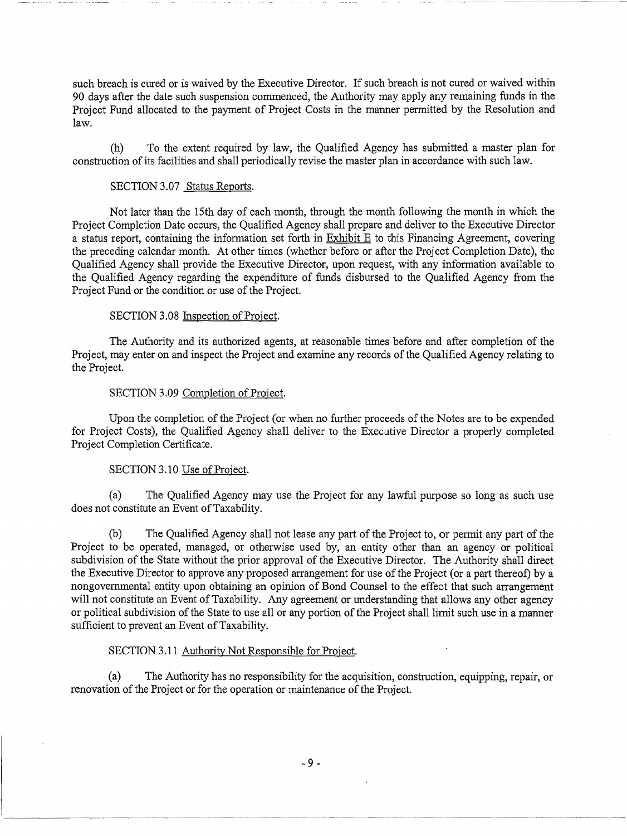such breach is cured or is waived by the Executive Director. If such breach is not cured or waived within 90 days after the date such suspension commenced, the Authority may apply any remaining funds in the Project Fund allocated to the payment of Project Costs in the manner permitted by the Resolution and law.

--------------- ----------

(h) To the extent required by law, the Qualified Agency has submitted a master plan for construction of its facilities and shall periodically revise the master plan in accordance with such law.

## SECTION 3.07 Status Reports.

Not later than the 15th day of each month, through the month following the month in which the Project Completion Date occurs, the Qualified Agency shall prepare and deliver to the Executive Director a status report, containing the information set forth in Exhibit E to this Financing Agreement, covering the preceding calendar month. At other times (whether before or after the Project Completion Date), the Qualified Agency shall provide the Executive Director, upon request, with any information available to the Qualified Agency regarding the expenditure of funds disbursed to the Qualified Agency from the Project Fund or the condition or use of the Project.

#### SECTION 3.08 Inspection of Project.

The Authority and its authorized agents, at reasonable times before and after completion of the Project, may enter on and inspect the Project and examine any records of the Qualified Agency relating to the Project.

#### SECTION 3.09 Completion of Project.

Upon the completion of the Project (or when no further proceeds of the Notes are to be expended for Project Costs), the Qualified Agency shall deliver to the Executive Director a properly completed Project Completion Certificate.

## SECTION 3.10 Use of Project.

(a) The Qualified Agency may use the Project for any lawful purpose so long as such use does not constitute an Event of Taxability.

(b) The Qualified Agency shall not lease any part of the Project to, or permit any part of the Project to be operated, managed, or otherwise used by, an entity other than an agency or political subdivision of the State without the prior approval of the Executive Director. The Authority shall direct the Executive Director to approve any proposed arrangement for use of the Project (or a part thereof) by a nongovernmental entity upon obtaining an opinion of Bond Counsel to the effect that such arrangement will not constitute an Event of Taxability. Any agreement or understanding that allows any other agency or political subdivision of the State to use all or any portion of the Project shall limit such use in a manner sufficient to prevent an Event of Taxability.

#### SECTION 3.11 Authority Not Responsible for Project.

(a) The Authority has no responsibility for the acquisition, construction, equipping, repair, or renovation of the Project or for the operation or maintenance of the Project.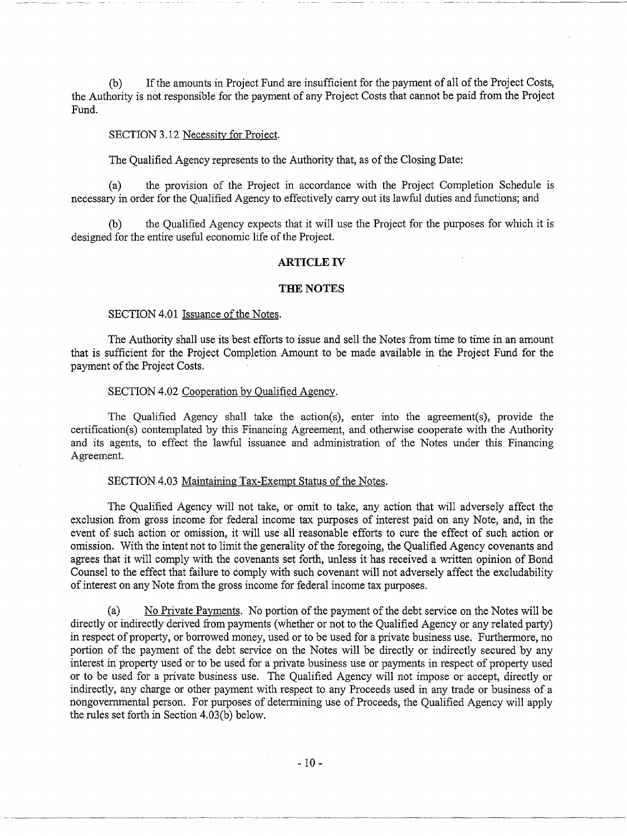(b) If the amounts in Project Fund are insufficient for the payment of all of the Project Costs, the Authority is not responsible for the payment of any Project Costs that cannot be paid from the Project Fund.

#### SECTION 3.12 Necessity for Project.

The Qualified Agency represents to the Authority that, as of the Closing Date:

(a) the provision of the Project in accordance with the Project Completion Schedule is necessary in order for the Qualified Agency to effectively carry out its lawful duties and functions; and

(b) the Qualified Agency expects that it will use the Project for the purposes for which it is designed for the entire useful economic life of the Project.

#### **ARTICLE IV**

#### **THE NOTES**

### SECTION 4.01 Issuance of the Notes.

The Authority shall use its best efforts to issue and sell the Notes from time to time in an amount that is sufficient for the Project Completion Amount to be made available in the Project Fund for the payment of the Project Costs.

## SECTION 4.02 Cooperation by Qualified Agency.

The Qualified Agency shall take the action(s), enter into the agreement(s), provide the certification(s) contemplated by this Financing Agreement, and otherwise cooperate with the Authority and its agents, to effect the lawful issuance and administration of the Notes under this Financing Agreement.

#### SECTION 4.03 Maintaining Tax-Exempt Status of the Notes.

The Qualified Agency will not take, or omit to take, any action that will adversely affect the exclusion from gross income for federal income tax purposes of interest paid on any Note, and, in the event of such action or omission, it will use all reasonable efforts to cure the effect of such action or omission. With the intent not to limit the generality of the foregoing, the Qualified Agency covenants and agrees that it will comply with the covenants set forth, unless it has received a written opinion of Bond Counsel to the effect that failure to comply with such covenant will not adversely affect the excludability of interest on any Note from the gross income for federal income tax purposes.

(a) No Private Payments. No portion of the payment of the debt service on the Notes will be directly or indirectly derived from payments (whether or not to the Qualified Agency or any related party) in respect of property, or borrowed money, used or to be used for a private business use. Furthermore, no portion of the payment of the debt service on the Notes will be directly or indirectly secured by any interest in property used or to be used for a private business use or payments in respect of property used or to be used for a private business use. The Qualified Agency will not impose or accept, directly or indirectly, any charge or other payment with respect to any Proceeds used in any trade or business of a nongovernmental person. For purposes of determining use of Proceeds, the Qualified Agency will apply the rules set forth in Section 4.03(b) below.

------------------------ -------------~~---~---------------------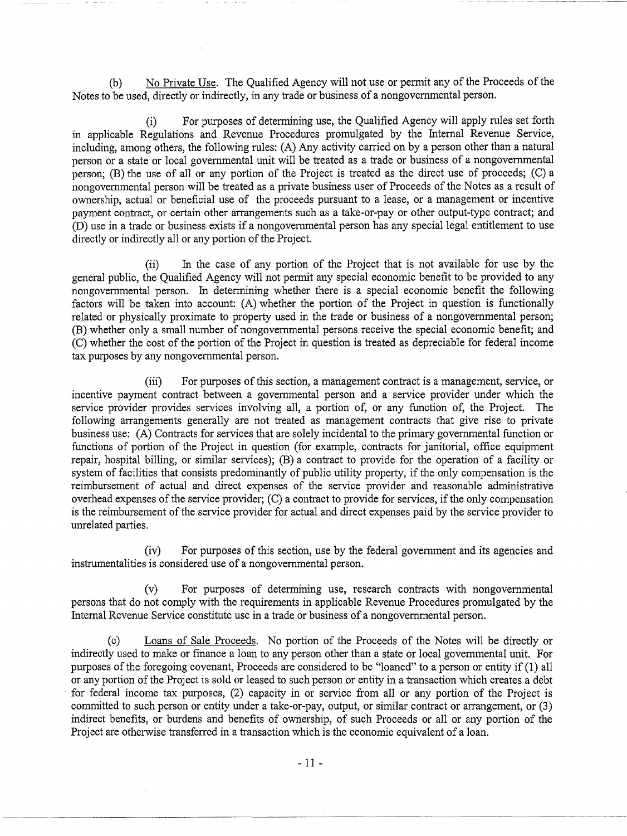(b) No Private Use. The Qualified Agency will not use or permit any of the Proceeds of the Notes to be used, directly or indirectly, in any trade or business of a nongovernmental person.

(i) For purposes of determining use, the Qualified Agency will apply rules set forth in applicable Regulations and Revenue Procedures promulgated by the Internal Revenue Service, including, among others, the following rules: (A) Any activity carried on by a person other than a natural person or a state or local governmental unit will be treated as a trade or business of a nongovernmental person; (B) the use of all or any portion of the Project is treated as the direct use of proceeds; (C) a nongovernmental person will be treated as a private business user of Proceeds ofthe Notes as a result of ownership, actual or beneficial use of the proceeds pursuant to a lease, or a management or incentive payment contract, or certain other arrangements such as a take-or-pay or other output-type contract; and (D) use in a trade or business exists if a nongovernmental person has any special legal entitlement to use directly or indirectly all or any portion of the Project.

(ii) In the case of any portion of the Project that is not available for use by the general public, the Qualified Agency will not permit any special economic benefit to be provided to any nongovernmental person. In determining whether there is a special economic benefit the following .factors will be taken into account: (A) whether the portion of the Project in question is functionally related or physically proximate to property used in the trade or business of a nongovernmental person; (B) whether only a small number of nongovernmental persons receive the special economic benefit; and (C) whether the cost of the portion of the Project in question is treated as depreciable for federal income tax purposes by any nongovernmental person.

(iii) For purposes of this section, a management contract is a management, service, or incentive payment contract between a governmental person and a service provider under which the service provider provides services involving all, a portion of, or any function of, the Project. The following arrangements generally are not treated as management contracts that give rise to private business use: (A) Contracts for services that are solely incidental to the primary governmental function or functions of portion of the Project in question (for example, contracts for janitorial, office equipment repair, hospital billing, or similar services); (B) a contract to provide for the operation of a facility or system of facilities that consists predominantly of public utility property, if the only compensation is the reimbursement of actual and direct expenses of the service provider and reasonable administrative overhead expenses of the service provider; (C) a contract to provide for services, if the only compensation is the reimbursement of the service provider for actual and direct expenses paid by the service provider to unrelated parties.

(iv) For purposes of this section, use by the federal government and its agencies and instrumentalities is considered use of a nongovernmental person.

(v) For purposes of determining use, research contracts with nongovernmental persons that do not comply with the requirements in applicable Revenue Procedures promulgated by the Internal Revenue Service constitute use in a trade or business of a nongovernmental person.

(c) Loans of Sale Proceeds. No portion of the Proceeds of the Notes will be directly or indirectly used to make or finance a loan to any person other than a state or local governmental unit. For purposes of the foregoing covenant, Proceeds are considered to be "loaned" to a person or entity if (1) all or any portion of the Project is sold or leased to such person or entity in a transaction which creates a debt for federal income tax purposes, (2) capacity in or service from all or any portion of the Project is committed to such person or entity under a take-or-pay, output, or similar contract or arrangement, or (3) indirect benefits, or burdens and benefits of ownership, of such Proceeds or all or any portion of the Project are otherwise transferred in a transaction which is the economic equivalent of a loan.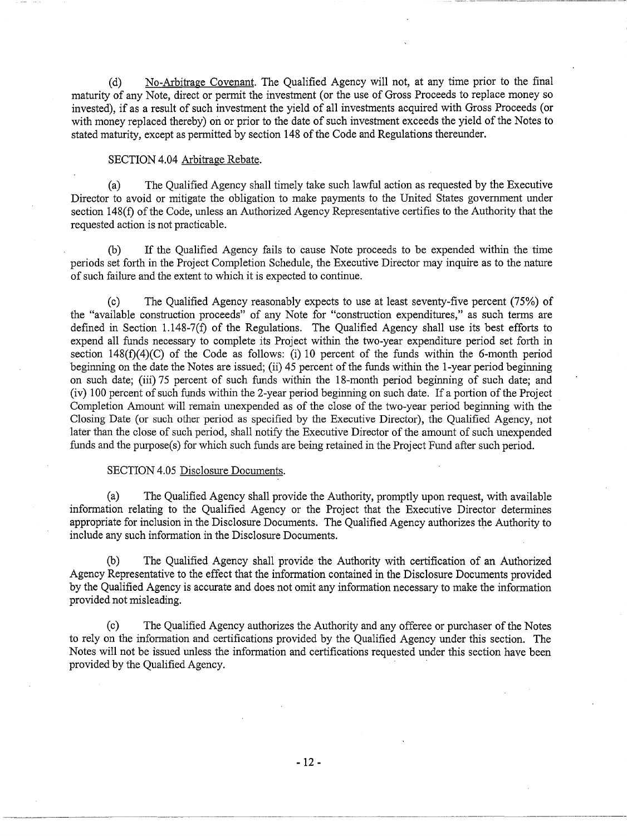(d) No-Arbitrage Covenant. The Qualified Agency will not, at any time prior to the final maturity of any Note, direct or permit the investment (or the use of Gross Proceeds to replace money so invested), if as a result of such investment the yield of all investments acquired with Gross Proceeds (or with money replaced thereby) on or prior to the date of such investment exceeds the yield of the Notes to stated maturity, except as permitted by section 148 of the Code and Regulations thereunder.

#### SECTION 4.04 Arbitrage Rebate.

(a) The Qualified Agency shall timely take such lawful action as requested by the Executive Director to avoid or mitigate the obligation to make payments to the United States government under section 148(f) of the Code, unless an Authorized Agency Representative certifies to the Authority that the requested action is not practicable.

(b) If the Qualified Agency fails to cause Note proceeds to be expended within the time periods set forth in the Project Completion Schedule, the Executive Director may inquire as to the nature of such failure and the extent to which it is expected to continue.

(c) The Qualified Agency reasonably expects to use at least seventy-five percent (75%) of the "available construction proceeds" of any Note for "construction expenditures," as such terms are defined in Section 1.148-7(f) of the Regulations. The Qualified Agency shall use its best efforts to expend all funds necessary to complete its Project within the two-year expenditure period set forth in section 148(f)(4)(C) of the Code as follows: (i) 10 percent of the funds within the 6-month period beginning on the date the Notes are issued; (ii) 45 percent of the funds within the 1-year period beginning on such date; (iii) 75 percent of such funds within the 18-month period beginning of such date; and (iv) 100 percent of such funds within the 2-year period beginning on such date. If a portion of the Project Completion Amount will remain unexpended as of the close of the two-year period beginning with the Closing Date (or such other period as specified by the Executive Director), the Qualified Agency, not later than the close of such period, shall notify the Executive Director of the amount of such unexpended funds and the purpose(s) for which such funds are being retained in the Project Fund after such period.

## SECTION 4.05 Disclosure Documents.

(a) The Qualified Agency shall provide the Authority, promptly upon request, with available information relating to the Qualified Agency or the Project that the Executive Director determines appropriate for inclusion in the Disclosure Documents. The Qualified Agency authorizes the Authority to include any such information in the Disclosure Documents.

(b) The Qualified Agency shall provide the Authority with certification of an Authorized Agency Representative to the effect that the information contained in the Disclosure Documents provided by the Qualified Agency is accurate and does not omit any information necessary to make the information provided not misleading.

(c) The Qualified Agency authorizes the Authority and any offeree or purchaser of the Notes to rely on the information and certifications provided by the Qualified Agency under this section. The Notes will not be issued unless the information and certifications requested under this section have been provided by the Qualified Agency.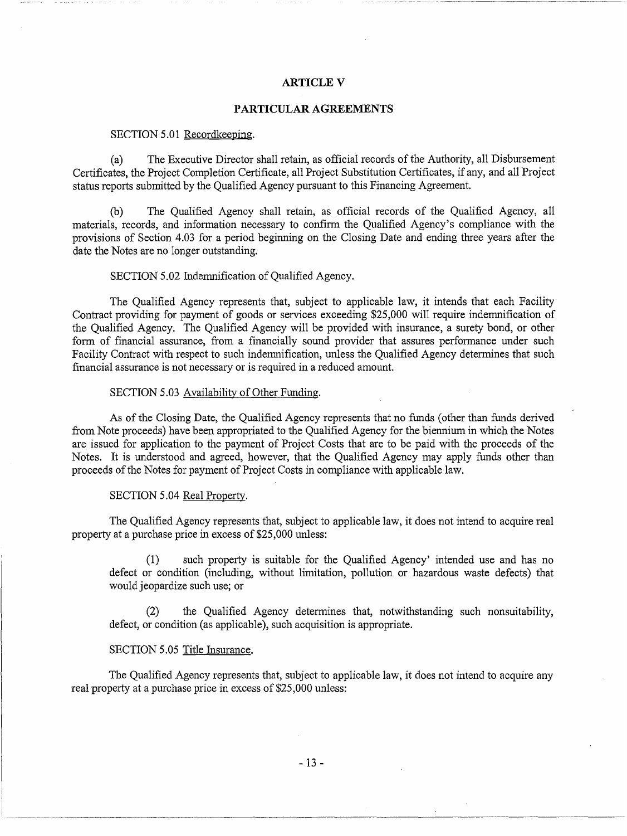### **ARTICLEV**

- ~- ---------~-----------

### **PARTICULAR AGREEMENTS**

#### SECTION 5.01 Recordkeeping.

(a) The Executive Director shall retain, as official records of the Authority, all Disbursement Certificates, the Project Completion Certificate, all Project Substitution Certificates, if any, and all Project status reports submitted by the Qualified Agency pursuant to this Financing Agreement.

(b) The Qualified Agency shall retain, as official records of the Qualified Agency, all materials, records, and information necessary to confirm the Qualified Agency's compliance with the provisions of Section 4.03 for a period beginning on the Closing Date and ending three years after the date the Notes are no longer outstanding.

## SECTION 5.02 Indemnification of Qualified Agency.

The Qualified Agency represents that, subject to applicable law, it intends that each Facility Contract providing for payment of goods or services exceeding \$25,000 will require indemnification of the Qualified Agency. The Qualified Agency will be provided with insurance, a surety bond, or other form of financial assurance, from a financially sound provider that assures performance under such Facility Contract with respect to such indemnification, unless the Qualified Agency determines that such financial assurance is not necessary or is required in a reduced amount.

#### SECTION 5.03 Availability of Other Funding.

As of the Closing Date, the Qualified Agency represents that no funds (other than funds derived from Note proceeds) have been appropriated to the Qualified Agency for the biennium in which the Notes are issued for application to the payment of Project Costs that are to be paid with the proceeds of the Notes. It is understood and agreed, however, that the Qualified Agency may apply funds other than proceeds of the Notes for payment of Project Costs in compliance with applicable law.

#### SECTION 5.04 Real Propertv.

The Qualified Agency represents that, subject to applicable law, it does not intend to acquire real property at a purchase price in excess of \$25,000 unless:

(1) such property is suitable for the Qualified Agency' intended use and has no defect or condition (including, without limitation, pollution or hazardous waste defects) that would jeopardize such use; or

(2) the Qualified Agency determines that, notwithstanding such nonsuitability, defect, or condition (as applicable), such acquisition is appropriate.

#### SECTION 5.05 Title Insurance.

The Qualified Agency represents that, subject to applicable law, it does not intend to acquire any real property at a purchase price in excess of \$25,000 unless: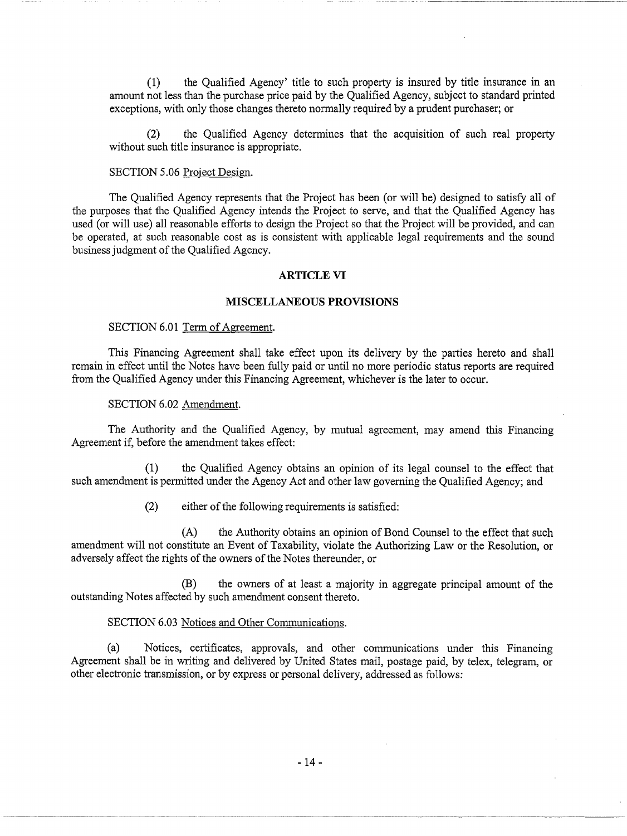(1) the Qualified Agency' title to such property is insured by title insurance in an amount not less than the purchase price paid by the Qualified Agency, subject to standard printed exceptions, with only those changes thereto normally required by a prudent purchaser; or

------------ ---------~

(2) the Qualified Agency determines that the acquisition of such real property without such title insurance is appropriate.

## SECTION 5.06 Project Design.

The Qualified Agency represents that the Project has been (or will be) designed to satisfy all of the purposes that the Qualified Agency intends the Project to serve, and that the Qualified Agency has used (or will use) all reasonable efforts to design the Project so that the Project will be provided, and can be operated, at such reasonable cost as is consistent with applicable legal requirements and the sound business judgment of the Qualified Agency.

#### **ARTICLE VI**

### **MISCELLANEOUS PROVISIONS**

## SECTION 6.01 Term of Agreement.

This Financing Agreement shall take effect upon its delivery by the parties hereto and shall remain in effect until the Notes have been fully paid or until no more periodic status reports are required from the Qualified Agency under this Financing Agreement, whichever is the later to occur.

### SECTION 6.02 Amendment.

The Authority and the Qualified Agency, by mutual agreement, may amend this Financing Agreement if, before the amendment takes effect:

(1) the Qualified Agency obtains an opinion of its legal counsel to the effect that such amendment is permitted under the Agency Act and other law governing the Qualified Agency; and

(2) either of the following requirements is satisfied:

(A) the Authority obtains an opinion of Bond Counsel to the effect that such amendment will not constitute an Event of Taxability, violate the Authorizing Law or the Resolution, or adversely affect the rights of the owners of the Notes thereunder, or

(B) the owners of at least a majority in aggregate principal amount of the outstanding Notes affected by such amendment consent thereto.

## SECTION 6.03 Notices and Other Communications.

(a) Notices, certificates, approvals, and other communications under this Financing Agreement shall be in writing and delivered by United States mail, postage paid, by telex, telegram, or other electronic transmission, or by express or personal delivery, addressed as follows: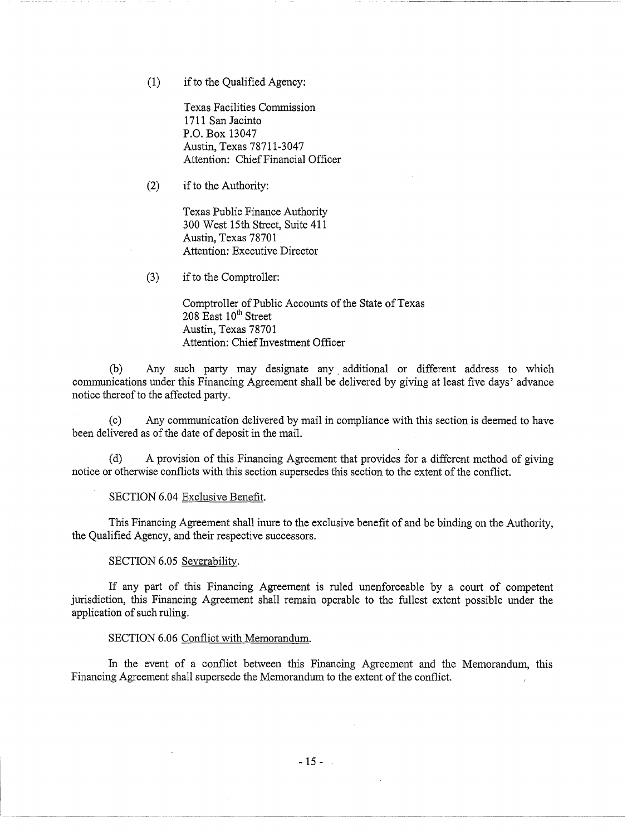(1) if to the Qualified Agency:

Texas Facilities Commission 1711 San Jacinto P.O. Box 13047 Austin, Texas 78711-3047 Attention: Chief Financial Officer

(2) if to the Authority:

Texas Public Finance Authority 300 West 15th Street, Suite 411 Austin, Texas 78701 Attention: Executive Director

(3) if to the Comptroller:

Comptroller of Public Accounts of the State of Texas  $208$  East  $10^{th}$  Street Austin, Texas 78701 Attention: Chief Investment Officer

(b) Any such party may designate any additional or different address to which communications under this Financing Agreement shall be delivered by giving at least five days' advance notice thereof to the affected party.

(c) Any communication delivered by mail in compliance with this section is deemed to have been delivered as of the date of deposit in the mail.

(d) A provision of this Financing Agreement that provides for a different method of giving notice or otherwise conflicts with this section supersedes this section to the extent of the conflict.

SECTION 6.04 Exclusive Benefit.

This Financing Agreement shall inure to the exclusive benefit of and be binding on the Authority, the Qualified Agency, and their respective successors.

### SECTION 6.05 Severabilitv.

If any part of this Financing Agreement is ruled unenforceable by a court of competent jurisdiction, this Financing Agreement shall remain operable to the fullest extent possible under the application of such ruling.

#### SECTION 6.06 Conflict with Memorandum.

In the event of a conflict between this Financing Agreement and the Memorandum, this Financing Agreement shall supersede the Memorandum to the extent of the conflict.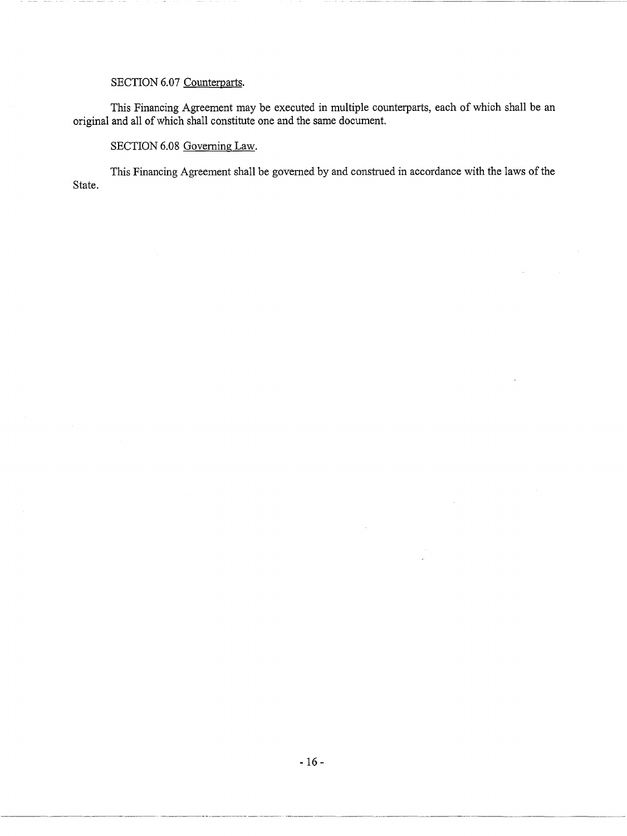# SECTION 6.07 Counterparts.

This Financing Agreement may be executed in multiple counterparts, each of which shall be an original and all of which shall constitute one and the same document.

## SECTION 6.08 Governing Law.

--- ------------- --------------------- ---

This Financing Agreement shall be governed by and construed in accordance with the laws of the State.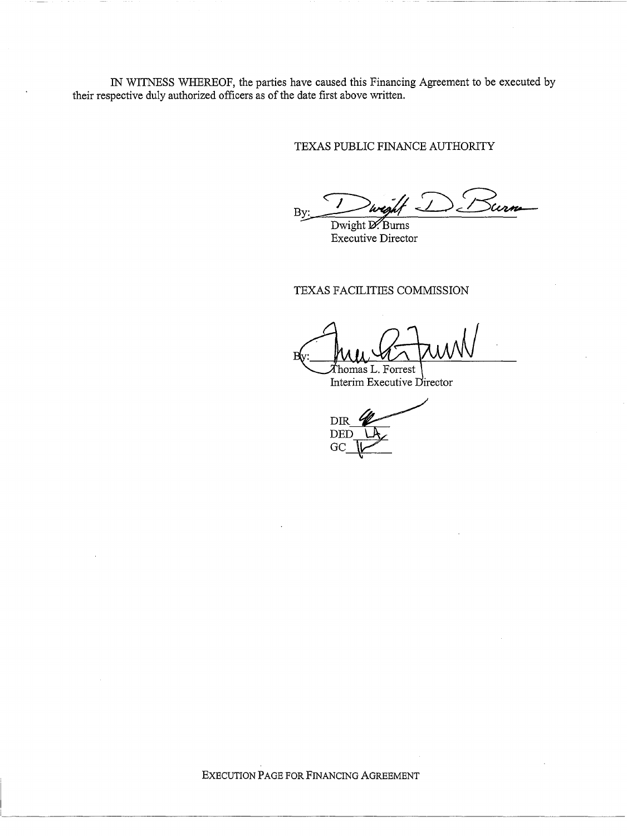IN WITNESS WHEREOF, the parties have caused this Financing Agreement to be executed by their respective duly authorized officers as of the date first above written.

TEXAS PUBLIC FINANCE AUTHORITY

By: Dwight D. Burns

Executive Director

TEXAS FACILITIES COMMISSION

Thomas L. Forrest

Interim Executive Director

 $DIF$ DET

EXECUTION PAGE FOR FINANCING AGREEMENT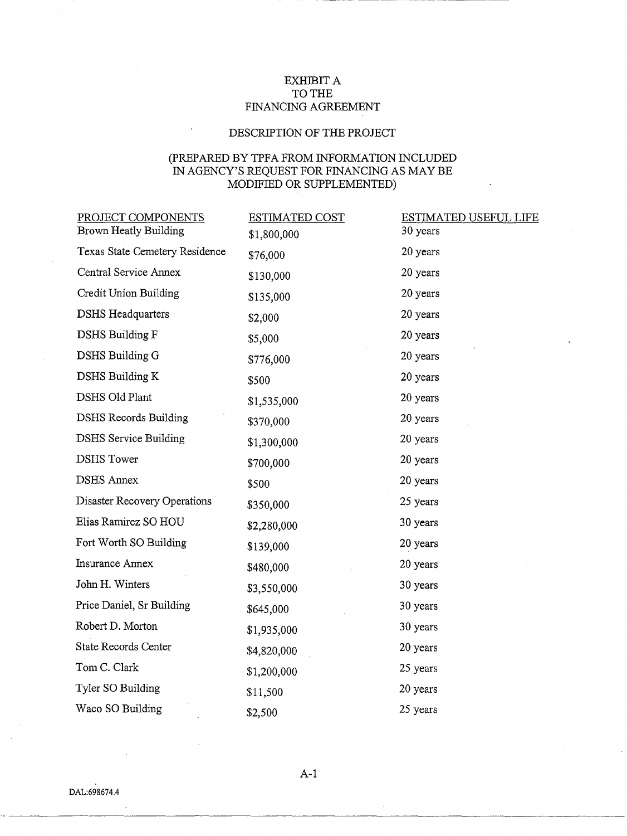# EXHIBIT A TO THE FINANCING AGREEMENT

# DESCRIPTION OF THE PROJECT

# (PREPARED BY TPFA FROM INFORMATION INCLUDED IN AGENCY'S REQUEST FOR FINANCING AS MAY BE MODIFIED OR SUPPLEMENTED)

| PROJECT COMPONENTS<br>Brown Heatly Building | ESTIMATED COST | <b>ESTIMATED USEFUL LIFE</b><br>30 years |
|---------------------------------------------|----------------|------------------------------------------|
|                                             | \$1,800,000    |                                          |
| Texas State Cemetery Residence              | \$76,000       | 20 years                                 |
| Central Service Annex                       | \$130,000      | 20 years                                 |
| Credit Union Building                       | \$135,000      | 20 years                                 |
| <b>DSHS</b> Headquarters                    | \$2,000        | 20 years                                 |
| <b>DSHS Building F</b>                      | \$5,000        | 20 years                                 |
| DSHS Building G                             | \$776,000      | 20 years                                 |
| DSHS Building K                             | \$500          | 20 years                                 |
| <b>DSHS Old Plant</b>                       | \$1,535,000    | 20 years                                 |
| <b>DSHS Records Building</b>                | \$370,000      | 20 years                                 |
| <b>DSHS</b> Service Building                | \$1,300,000    | 20 years                                 |
| <b>DSHS</b> Tower                           | \$700,000      | 20 years                                 |
| <b>DSHS Annex</b>                           | \$500          | 20 years                                 |
| Disaster Recovery Operations                | \$350,000      | 25 years                                 |
| Elias Ramirez SO HOU                        | \$2,280,000    | 30 years                                 |
| Fort Worth SO Building                      | \$139,000      | 20 years                                 |
| <b>Insurance Annex</b>                      | \$480,000      | 20 years                                 |
| John H. Winters                             | \$3,550,000    | 30 years                                 |
| Price Daniel, Sr Building                   | \$645,000      | 30 years                                 |
| Robert D. Morton                            | \$1,935,000    | 30 years                                 |
| State Records Center                        | \$4,820,000    | 20 years                                 |
| Tom C. Clark                                | \$1,200,000    | 25 years                                 |
| Tyler SO Building                           | \$11,500       | 20 years                                 |
| Waco SO Building                            | \$2,500        | 25 years                                 |

A-1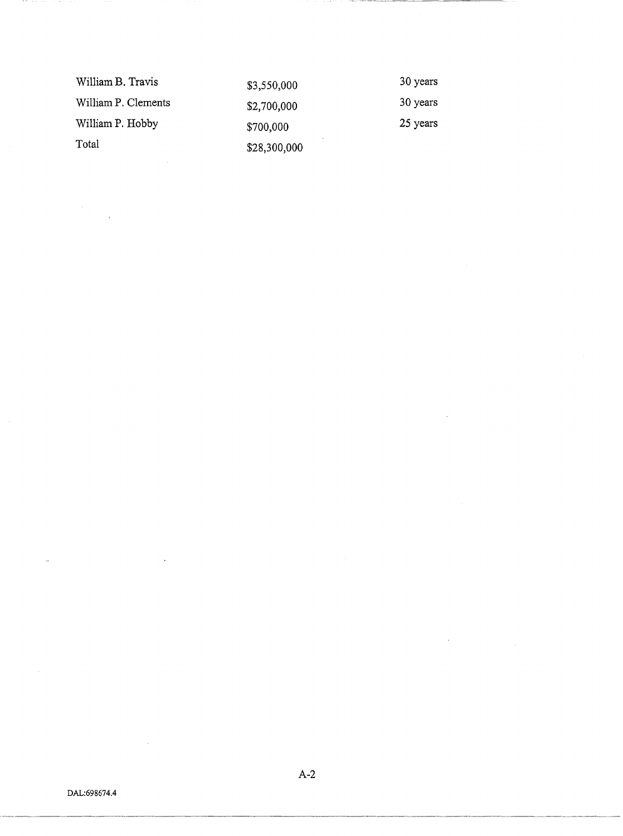| William B. Travis   | \$3,550,000  | 30 years |
|---------------------|--------------|----------|
| William P. Clements | \$2,700,000  | 30 years |
| William P. Hobby    | \$700,000    | 25 years |
| Total               | \$28,300,000 |          |

 $\bar{\gamma}$ 

A-2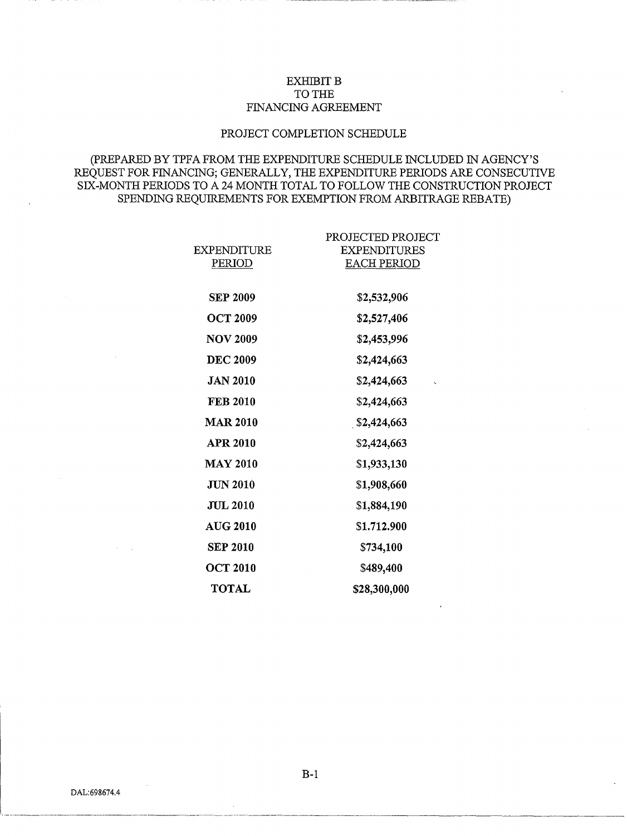## **EXHIBIT B** TO THE FINANCING AGREEMENT

## PROJECT COMPLETION SCHEDULE

# (PREPARED BY TPFA FROM THE EXPENDITURE SCHEDULE INCLUDED IN AGENCY'S REQUEST FOR FINANCING; GENERALLY, THE EXPENDITURE PERIODS ARE CONSECUTIVE SIX-MONTH PERIODS TO A 24 MONTH TOTAL TO FOLLOW THE CONSTRUCTION PROJECT SPENDING REQUIREMENTS FOR EXEMPTION FROM ARBITRAGE REBATE)

| EXPENDITURE<br>PERIOD | PROJECTED PROJECT<br><b>EXPENDITURES</b><br><b>EACH PERIOD</b> |
|-----------------------|----------------------------------------------------------------|
| <b>SEP 2009</b>       | \$2,532,906                                                    |
| <b>OCT 2009</b>       | \$2,527,406                                                    |
| <b>NOV 2009</b>       | \$2,453,996                                                    |
| <b>DEC 2009</b>       | \$2,424,663                                                    |
| <b>JAN 2010</b>       | \$2,424,663                                                    |
| <b>FEB 2010</b>       | \$2,424,663                                                    |
| <b>MAR 2010</b>       | \$2,424,663                                                    |
| <b>APR 2010</b>       | \$2,424,663                                                    |
| <b>MAY 2010</b>       | \$1,933,130                                                    |
| JUN 2010              | \$1,908,660                                                    |
| <b>JUL 2010</b>       | \$1,884,190                                                    |
| <b>AUG 2010</b>       | \$1,712,900                                                    |
| <b>SEP 2010</b>       | \$734,100                                                      |
| <b>OCT 2010</b>       | \$489,400                                                      |
| <b>TOTAL</b>          | \$28,300,000                                                   |
|                       |                                                                |

DAL:698674.4

B-1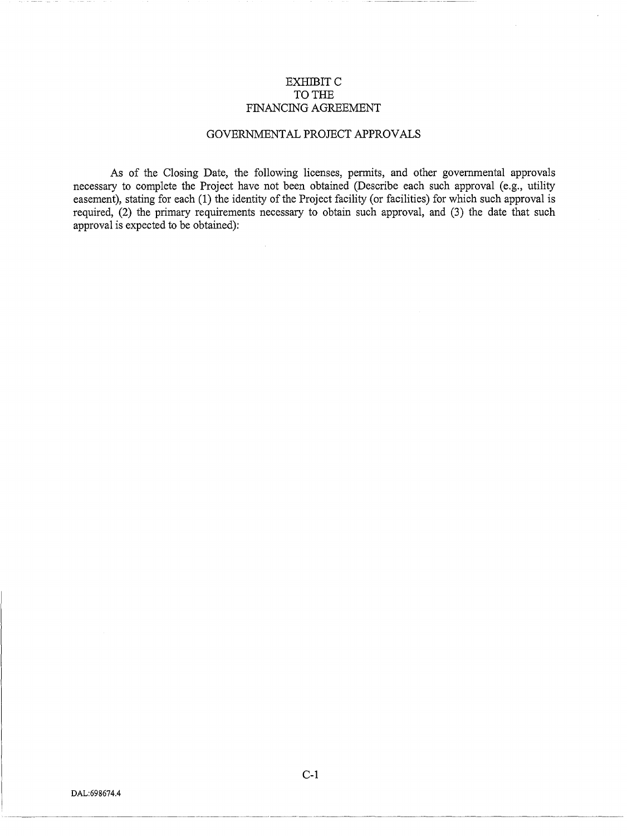## EXHIBITC TO THE FINANCING AGREEMENT

## GOVERNMENTAL PROJECT APPROVALS

As of the Closing Date, the following licenses, permits, and other governmental approvals necessary to complete the Project have not been obtained (Describe each such approval (e.g., utility easement), stating for each (1) the identity of the Project facility (or facilities) for which such approval is required, (2) the primary requirements necessary to obtain such approval, and (3) the date that such approval is expected to be obtained):

C-1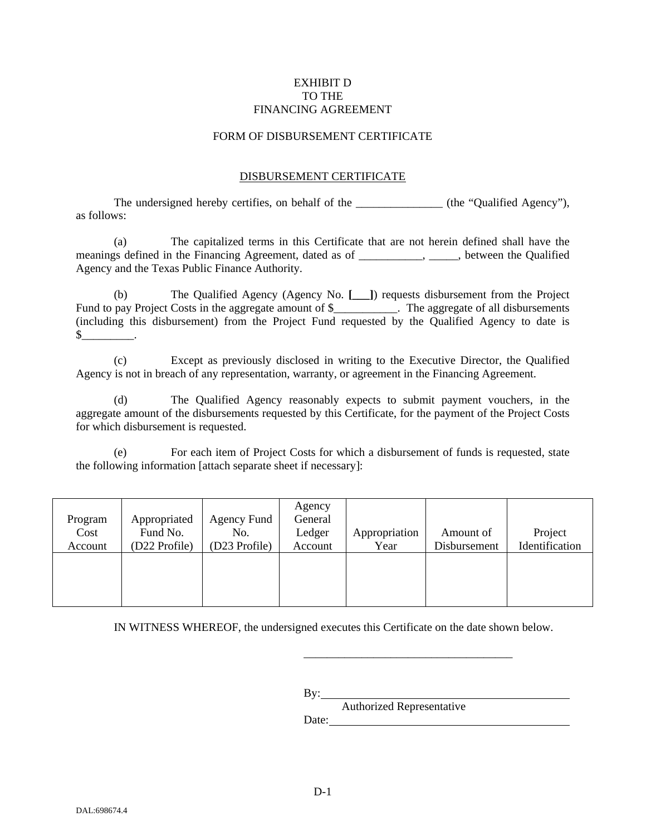## EXHIBIT D TO THE FINANCING AGREEMENT

## FORM OF DISBURSEMENT CERTIFICATE

## DISBURSEMENT CERTIFICATE

The undersigned hereby certifies, on behalf of the \_\_\_\_\_\_\_\_\_\_\_\_\_\_\_ (the "Qualified Agency"), as follows:

(a) The capitalized terms in this Certificate that are not herein defined shall have the meanings defined in the Financing Agreement, dated as of \_\_\_\_\_\_\_\_\_\_\_, \_\_\_\_\_, between the Qualified Agency and the Texas Public Finance Authority.

(b) The Qualified Agency (Agency No. **[\_\_\_]**) requests disbursement from the Project Fund to pay Project Costs in the aggregate amount of \$\_\_\_\_\_\_\_\_\_\_\_. The aggregate of all disbursements (including this disbursement) from the Project Fund requested by the Qualified Agency to date is  $\mathbb S$ 

(c) Except as previously disclosed in writing to the Executive Director, the Qualified Agency is not in breach of any representation, warranty, or agreement in the Financing Agreement.

(d) The Qualified Agency reasonably expects to submit payment vouchers, in the aggregate amount of the disbursements requested by this Certificate, for the payment of the Project Costs for which disbursement is requested.

(e) For each item of Project Costs for which a disbursement of funds is requested, state the following information [attach separate sheet if necessary]:

| Program<br>Cost | Appropriated<br>Fund No. | Agency Fund<br>No. | Agency<br>General<br>Ledger | Appropriation | Amount of    | Project        |
|-----------------|--------------------------|--------------------|-----------------------------|---------------|--------------|----------------|
| Account         | (D22 Profile)            | (D23 Profile)      | Account                     | Year          | Disbursement | Identification |
|                 |                          |                    |                             |               |              |                |
|                 |                          |                    |                             |               |              |                |

IN WITNESS WHEREOF, the undersigned executes this Certificate on the date shown below.

 $By:$ 

Authorized Representative Date:

\_\_\_\_\_\_\_\_\_\_\_\_\_\_\_\_\_\_\_\_\_\_\_\_\_\_\_\_\_\_\_\_\_\_\_\_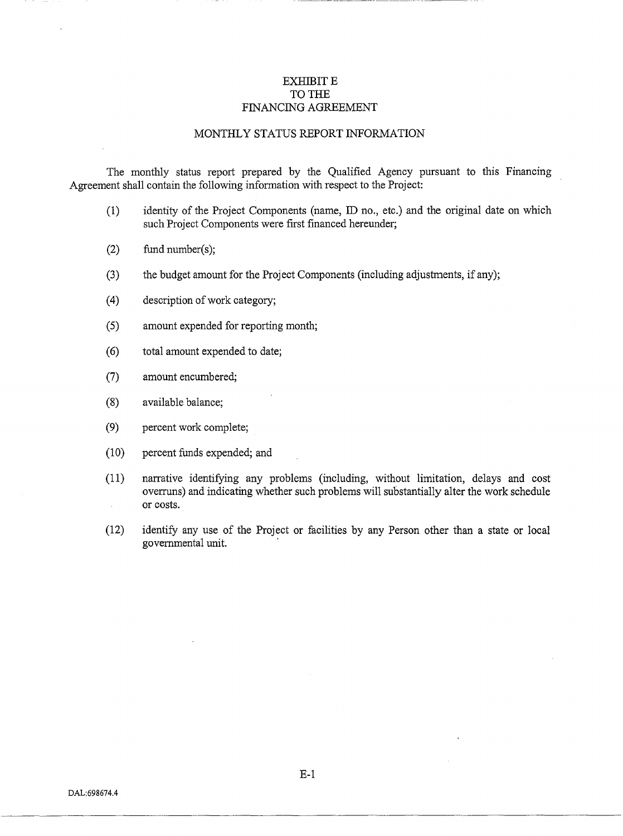## EXHIBIT E TO THE FINANCING AGREEMENT

### MONTHLY STATUS REPORT INFORMATION

The monthly status report prepared by the Qualified Agency pursuant to this Financing Agreement shall contain the following information with respect to the Project:

- (1) identity of the Project Components (name, ID no., etc.) and the original date on which such Project Components were first financed hereunder;
- (2) fund number(s);
- (3) the budget amount for the Project Components (including adjustments, if any);
- (4) description of work category;
- (5) amount expended for reporting month;
- ( 6) total amount expended to date;
- (7) amount encumbered;
- (8) available balance;
- (9) percent work complete;
- (10) percent funds expended; and
- (11) narrative identifying any problems (including, without limitation, delays and cost overruns) and indicating whether such problems will substantially alter the work schedule or costs.  $\mathcal{L}^{(1)}$
- (12) identify any use of the Project or facilities by any Person other than a state or local governmental unit. ·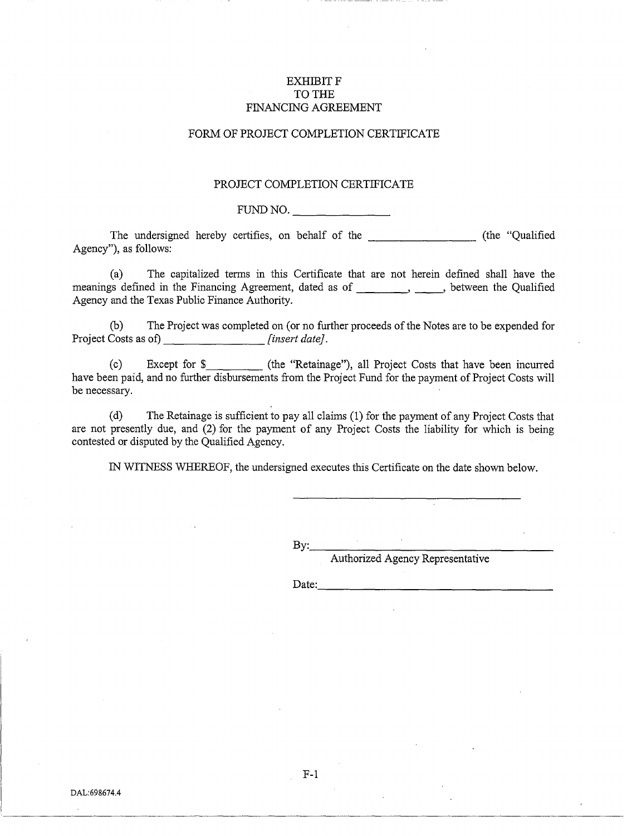## **EXHIBITF** TO THE FINANCING AGREEMENT

## FORM OF PROJECT COMPLETION CERTIFICATE

#### PROJECT COMPLETION CERTIFICATE

FUND NO.

The undersigned hereby certifies, on behalf of the -------- (the "Qualified Agency"), as follows:

(a) The capitalized terms in this Certificate that are not herein defined shall have the meanings defined in the Financing Agreement, dated as of \_\_\_\_\_\_\_\_, \_\_\_\_\_, between the Qualified Agency and the Texas Public Finance Authority.

(b) The Project was completed on (or no further proceeds of the Notes are to be expended for Project Costs as of) *[insert date]*.

(c) Except for \$ (the "Retainage"), all Project Costs that have been incurred have been paid, and no further disbursements from the Project Fund for the payment of Project Costs will be necessary.

(d) The Retainage is sufficient to pay all claims (1) for the payment of any Project Costs that are not presently due, and (2) for the payment of any Project Costs the liability for which is being contested or disputed by the Qualified Agency.

IN WITNESS WHEREOF, the undersigned executes this Certificate on the date shown below.

By: \_\_\_\_\_\_\_\_\_\_\_\_\_\_\_ \_

Authorized Agency Representative

Date:

F-1